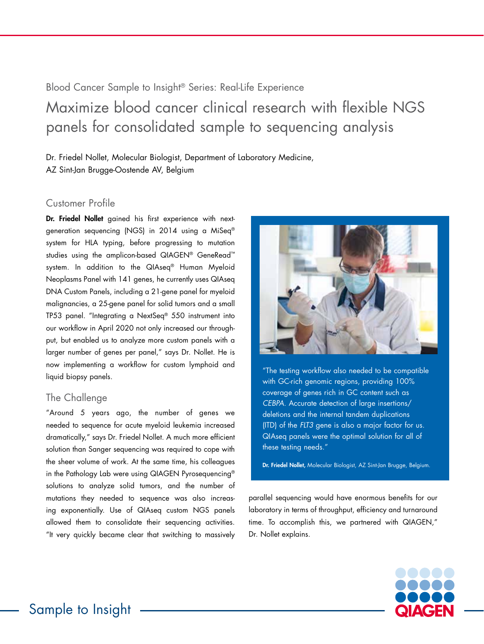Blood Cancer Sample to Insight® Series: Real-Life Experience Maximize blood cancer clinical research with flexible NGS panels for consolidated sample to sequencing analysis

Dr. Friedel Nollet, Molecular Biologist, Department of Laboratory Medicine, AZ Sint-Jan Brugge-Oostende AV, Belgium

## Customer Profile

Dr. Friedel Nollet gained his first experience with nextgeneration sequencing (NGS) in 2014 using a MiSeq® system for HLA typing, before progressing to mutation studies using the amplicon-based QIAGEN® GeneRead™ system. In addition to the QIAseq® Human Myeloid Neoplasms Panel with 141 genes, he currently uses QIAseq DNA Custom Panels, including a 21-gene panel for myeloid malignancies, a 25-gene panel for solid tumors and a small TP53 panel. "Integrating a NextSeq® 550 instrument into our workflow in April 2020 not only increased our throughput, but enabled us to analyze more custom panels with a larger number of genes per panel," says Dr. Nollet. He is now implementing a workflow for custom lymphoid and liquid biopsy panels.

## The Challenge

"Around 5 years ago, the number of genes we needed to sequence for acute myeloid leukemia increased dramatically," says Dr. Friedel Nollet. A much more efficient solution than Sanger sequencing was required to cope with the sheer volume of work. At the same time, his colleagues in the Pathology Lab were using QIAGEN Pyrosequencing® solutions to analyze solid tumors, and the number of mutations they needed to sequence was also increasing exponentially. Use of QIAseq custom NGS panels allowed them to consolidate their sequencing activities. "It very quickly became clear that switching to massively



"The testing workflow also needed to be compatible with GC-rich genomic regions, providing 100% coverage of genes rich in GC content such as *CEBPA*. Accurate detection of large insertions/ deletions and the internal tandem duplications (ITD) of the *FLT3* gene is also a major factor for us. QIAseq panels were the optimal solution for all of these testing needs."

Dr. Friedel Nollet, Molecular Biologist, AZ Sint-Jan Brugge, Belgium.

parallel sequencing would have enormous benefits for our laboratory in terms of throughput, efficiency and turnaround time. To accomplish this, we partnered with QIAGEN," Dr. Nollet explains.

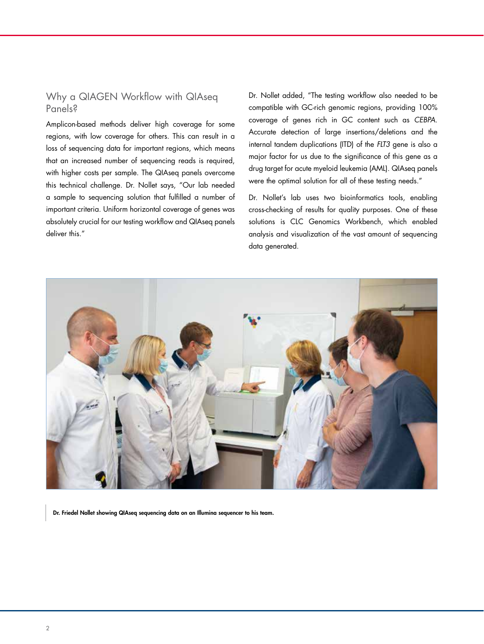# Why a QIAGEN Workflow with QIAseq Panels?

Amplicon-based methods deliver high coverage for some regions, with low coverage for others. This can result in a loss of sequencing data for important regions, which means that an increased number of sequencing reads is required, with higher costs per sample. The QIAseq panels overcome this technical challenge. Dr. Nollet says, "Our lab needed a sample to sequencing solution that fulfilled a number of important criteria. Uniform horizontal coverage of genes was absolutely crucial for our testing workflow and QIAseq panels deliver this."

Dr. Nollet added, "The testing workflow also needed to be compatible with GC-rich genomic regions, providing 100% coverage of genes rich in GC content such as *CEBPA*. Accurate detection of large insertions/deletions and the internal tandem duplications (ITD) of the *FLT3* gene is also a major factor for us due to the significance of this gene as a drug target for acute myeloid leukemia (AML). QIAseq panels were the optimal solution for all of these testing needs."

Dr. Nollet's lab uses two bioinformatics tools, enabling cross-checking of results for quality purposes. One of these solutions is CLC Genomics Workbench, which enabled analysis and visualization of the vast amount of sequencing data generated.



Dr. Friedel Nollet showing QIAseq sequencing data on an Illumina sequencer to his team.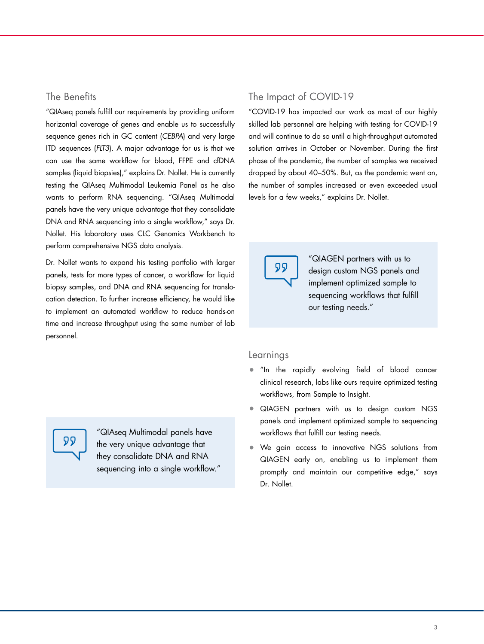### The Benefits

"QIAseq panels fulfill our requirements by providing uniform horizontal coverage of genes and enable us to successfully sequence genes rich in GC content (*CEBPA*) and very large ITD sequences (*FLT3*). A major advantage for us is that we can use the same workflow for blood, FFPE and cfDNA samples (liquid biopsies)," explains Dr. Nollet. He is currently testing the QIAseq Multimodal Leukemia Panel as he also wants to perform RNA sequencing. "QIAseq Multimodal panels have the very unique advantage that they consolidate DNA and RNA sequencing into a single workflow," says Dr. Nollet. His laboratory uses CLC Genomics Workbench to perform comprehensive NGS data analysis.

Dr. Nollet wants to expand his testing portfolio with larger panels, tests for more types of cancer, a workflow for liquid biopsy samples, and DNA and RNA sequencing for translocation detection. To further increase efficiency, he would like to implement an automated workflow to reduce hands-on time and increase throughput using the same number of lab personnel.

# The Impact of COVID-19

"COVID-19 has impacted our work as most of our highly skilled lab personnel are helping with testing for COVID-19 and will continue to do so until a high-throughput automated solution arrives in October or November. During the first phase of the pandemic, the number of samples we received dropped by about 40–50%. But, as the pandemic went on, the number of samples increased or even exceeded usual levels for a few weeks," explains Dr. Nollet.



"QIAGEN partners with us to design custom NGS panels and implement optimized sample to sequencing workflows that fulfill our testing needs."

#### Learnings

- "In the rapidly evolving field of blood cancer clinical research, labs like ours require optimized testing workflows, from Sample to Insight.
- QIAGEN partners with us to design custom NGS panels and implement optimized sample to sequencing workflows that fulfill our testing needs.
- We gain access to innovative NGS solutions from QIAGEN early on, enabling us to implement them promptly and maintain our competitive edge," says Dr. Nollet.



"QIAseq Multimodal panels have the very unique advantage that they consolidate DNA and RNA sequencing into a single workflow."